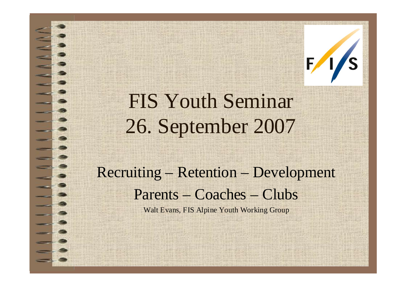

# FIS Youth Seminar 26. September 2007

## Recruiting – Retention – Development Parents – Coaches – Clubs

Walt Evans, FIS Alpine Youth Working Group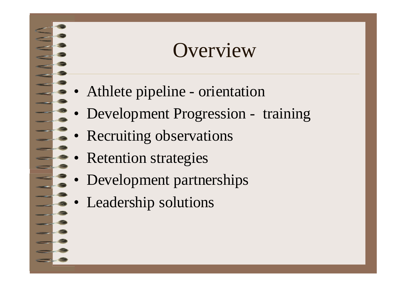## **Overview**

- Athlete pipeline orientation
- Development Progression training
- Recruiting observations
- Retention strategies
- Development partnerships
- Leadership solutions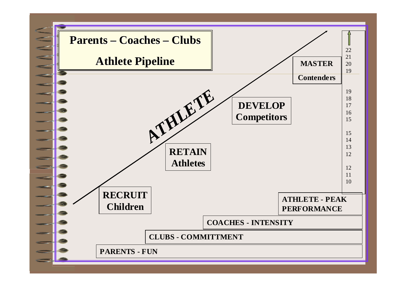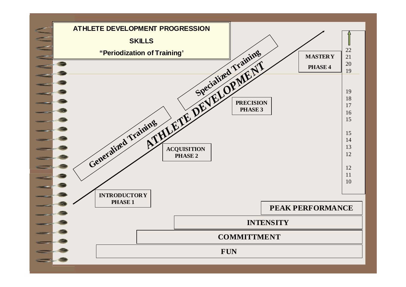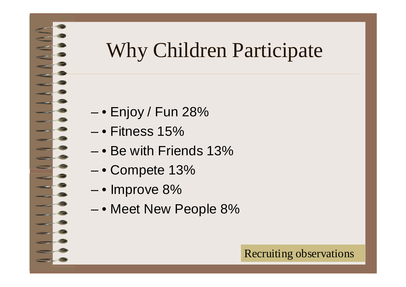# Why Children Participate

- $-$  Enjoy / Fun 28%
- $-$  Fitness 15%
- • Be with Friends 13%
- • Compete 13%
- • Improve 8%
- • Meet New People 8%

### Recruiting observations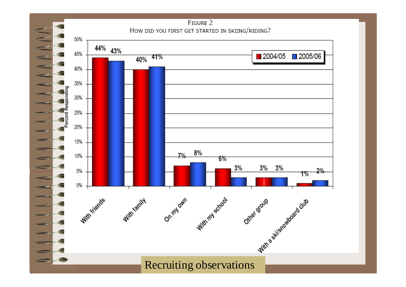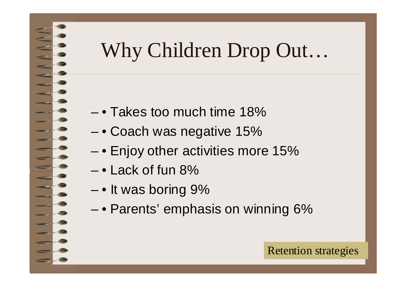# Why Children Drop Out…

- • Takes too much time 18%
- • Coach was negative 15%
- $-$  Enjoy other activities more 15%
- $-$  Lack of fun 8%
- • It was boring 9%
- • Parents' emphasis on winning 6%

Retention strategies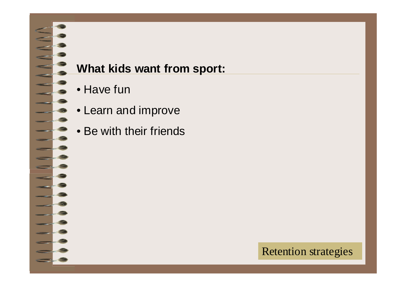### **What kids want from sport:**

- Have fun
- Learn and improve
- Be with their friends

### Retention strategies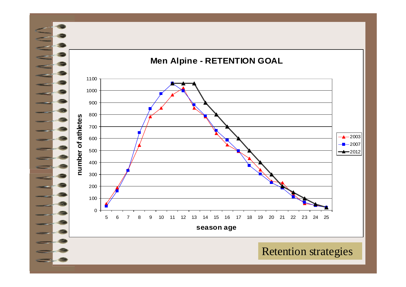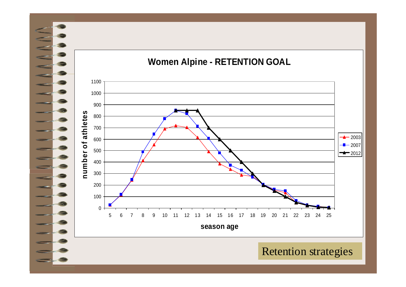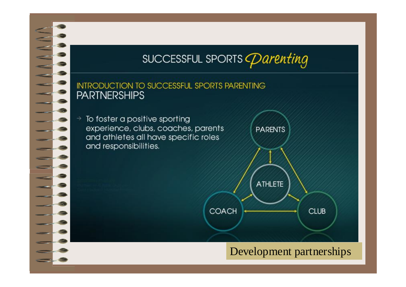

### SUCCESSFUL SPORTS *Parenting*

#### **INTRODUCTION TO SUCCESSFUL SPORTS PARENTING PARTNERSHIPS**

To foster a positive sporting experience, clubs, coaches, parents and athletes all have specific roles and responsibilities.

**PARENTS** ATHLETE COACH **CLUB** 

Development partnerships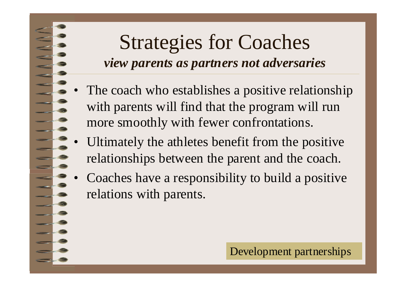## Strategies for Coaches *view parents as partners not adversaries*

- The coach who establishes a positive relationship with parents will find that the program will run more smoothly with fewer confrontations.
- Ultimately the athletes benefit from the positive relationships between the parent and the coach.
- Coaches have a responsibility to build a positive relations with parents.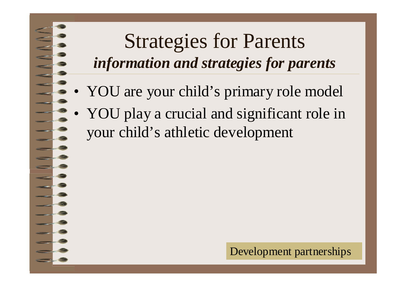## Strategies for Parents *information and strategies for parents*

- YOU are your child's primary role model
- YOU play a crucial and significant role in your child's athletic development

Development partnerships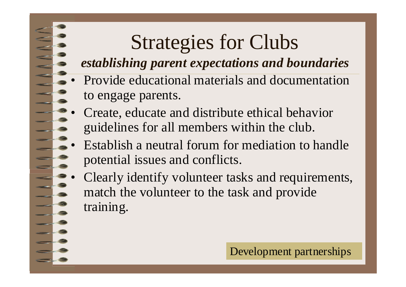# Strategies for Clubs

### *establishing parent expectations and boundaries*

- Provide educational materials and documentation to engage parents.
- Create, educate and distribute ethical behavior guidelines for all members within the club.
- Establish a neutral forum for mediation to handle potential issues and conflicts.
- Clearly identify volunteer tasks and requirements, match the volunteer to the task and provide training.

Development partnerships